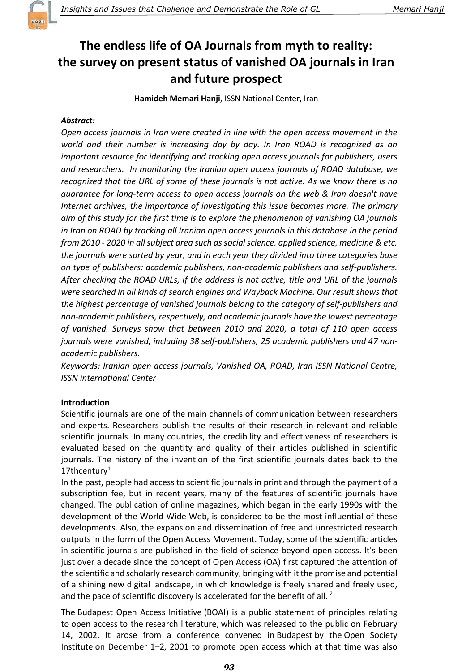

# The endless life of OA Journals from myth to reality: the survey on present status of vanished OA journals in Iran and future prospect

Hamideh Memari Hanji, ISSN National Center, Iran

# Abstract:

Open access journals in Iran were created in line with the open access movement in the world and their number is increasing day by day. In Iran ROAD is recognized as an important resource for identifying and tracking open access journals for publishers, users and researchers. In monitoring the Iranian open access journals of ROAD database, we recognized that the URL of some of these journals is not active. As we know there is no guarantee for long-term access to open access journals on the web & Iran doesn't have Internet archives, the importance of investigating this issue becomes more. The primary aim of this study for the first time is to explore the phenomenon of vanishing OA journals in Iran on ROAD by tracking all Iranian open access journals in this database in the period from 2010 - 2020 in all subject area such as social science, applied science, medicine & etc. the journals were sorted by year, and in each year they divided into three categories base on type of publishers: academic publishers, non-academic publishers and self-publishers. After checking the ROAD URLs, if the address is not active, title and URL of the journals were searched in all kinds of search engines and Wayback Machine. Our result shows that the highest percentage of vanished journals belong to the category of self-publishers and non-academic publishers, respectively, and academic journals have the lowest percentage of vanished. Surveys show that between 2010 and 2020, a total of 110 open access journals were vanished, including 38 self-publishers, 25 academic publishers and 47 nonacademic publishers.

Keywords: Iranian open access journals, Vanished OA, ROAD, Iran ISSN National Centre, ISSN international Center

# Introduction

Scientific journals are one of the main channels of communication between researchers and experts. Researchers publish the results of their research in relevant and reliable scientific journals. In many countries, the credibility and effectiveness of researchers is evaluated based on the quantity and quality of their articles published in scientific journals. The history of the invention of the first scientific journals dates back to the 17thcentury $1$ 

In the past, people had access to scientific journals in print and through the payment of a subscription fee, but in recent years, many of the features of scientific journals have changed. The publication of online magazines, which began in the early 1990s with the development of the World Wide Web, is considered to be the most influential of these developments. Also, the expansion and dissemination of free and unrestricted research outputs in the form of the Open Access Movement. Today, some of the scientific articles in scientific journals are published in the field of science beyond open access. It's been just over a decade since the concept of Open Access (OA) first captured the attention of the scientific and scholarly research community, bringing with it the promise and potential of a shining new digital landscape, in which knowledge is freely shared and freely used, and the pace of scientific discovery is accelerated for the benefit of all. <sup>2</sup>

The Budapest Open Access Initiative (BOAI) is a public statement of principles relating to open access to the research literature, which was released to the public on February 14, 2002. It arose from a conference convened in Budapest by the Open Society Institute on December 1–2, 2001 to promote open access which at that time was also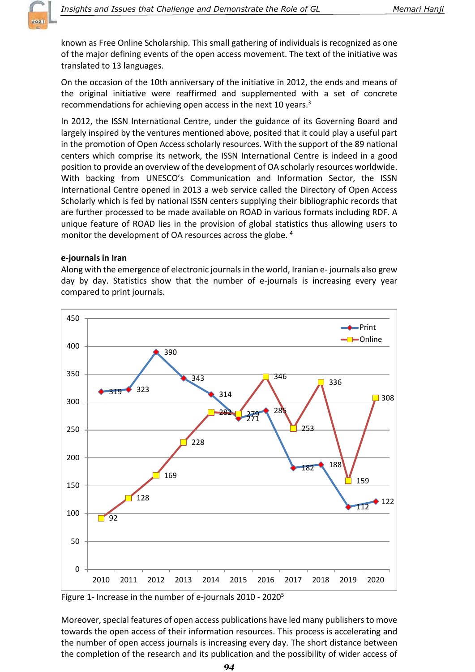known as Free Online Scholarship. This small gathering of individuals is recognized as one of the major defining events of the open access movement. The text of the initiative was translated to 13 languages.

On the occasion of the 10th anniversary of the initiative in 2012, the ends and means of the original initiative were reaffirmed and supplemented with a set of concrete recommendations for achieving open access in the next 10 years.<sup>3</sup>

In 2012, the ISSN International Centre, under the guidance of its Governing Board and largely inspired by the ventures mentioned above, posited that it could play a useful part in the promotion of Open Access scholarly resources. With the support of the 89 national centers which comprise its network, the ISSN International Centre is indeed in a good position to provide an overview of the development of OA scholarly resources worldwide. With backing from UNESCO's Communication and Information Sector, the ISSN International Centre opened in 2013 a web service called the Directory of Open Access Scholarly which is fed by national ISSN centers supplying their bibliographic records that are further processed to be made available on ROAD in various formats including RDF. A unique feature of ROAD lies in the provision of global statistics thus allowing users to monitor the development of OA resources across the globe.<sup>4</sup>

### e-journals in Iran

Along with the emergence of electronic journals in the world, Iranian e- journals also grew day by day. Statistics show that the number of e-journals is increasing every year compared to print journals.



Figure 1- Increase in the number of e-journals 2010 - 2020<sup>5</sup>

Moreover, special features of open access publications have led many publishers to move towards the open access of their information resources. This process is accelerating and the number of open access journals is increasing every day. The short distance between the completion of the research and its publication and the possibility of wider access of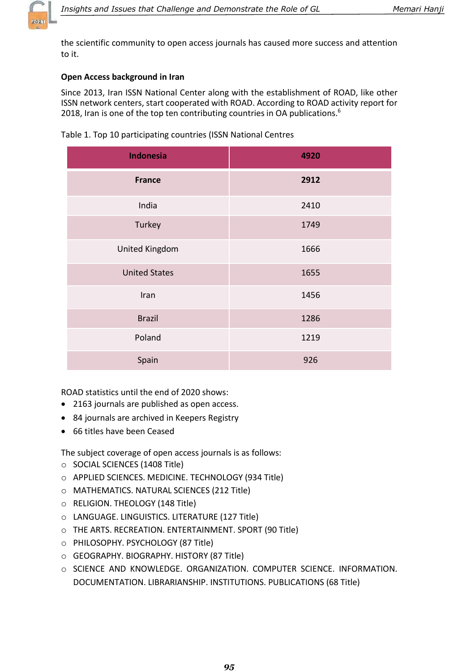

the scientific community to open access journals has caused more success and attention to it.

# Open Access background in Iran

Since 2013, Iran ISSN National Center along with the establishment of ROAD, like other ISSN network centers, start cooperated with ROAD. According to ROAD activity report for 2018, Iran is one of the top ten contributing countries in OA publications.<sup>6</sup>

| <b>Indonesia</b>      | 4920 |
|-----------------------|------|
| <b>France</b>         | 2912 |
| India                 | 2410 |
| Turkey                | 1749 |
| <b>United Kingdom</b> | 1666 |
| <b>United States</b>  | 1655 |
| Iran                  | 1456 |
| <b>Brazil</b>         | 1286 |
| Poland                | 1219 |
| Spain                 | 926  |

Table 1. Top 10 participating countries (ISSN National Centres

ROAD statistics until the end of 2020 shows:

- 2163 journals are published as open access.
- 84 journals are archived in Keepers Registry
- 66 titles have been Ceased

The subject coverage of open access journals is as follows:

- o SOCIAL SCIENCES (1408 Title)
- o APPLIED SCIENCES. MEDICINE. TECHNOLOGY (934 Title)
- o MATHEMATICS. NATURAL SCIENCES (212 Title)
- o RELIGION. THEOLOGY (148 Title)
- o LANGUAGE. LINGUISTICS. LITERATURE (127 Title)
- o THE ARTS. RECREATION. ENTERTAINMENT. SPORT (90 Title)
- o PHILOSOPHY. PSYCHOLOGY (87 Title)
- o GEOGRAPHY. BIOGRAPHY. HISTORY (87 Title)
- o SCIENCE AND KNOWLEDGE. ORGANIZATION. COMPUTER SCIENCE. INFORMATION. DOCUMENTATION. LIBRARIANSHIP. INSTITUTIONS. PUBLICATIONS (68 Title)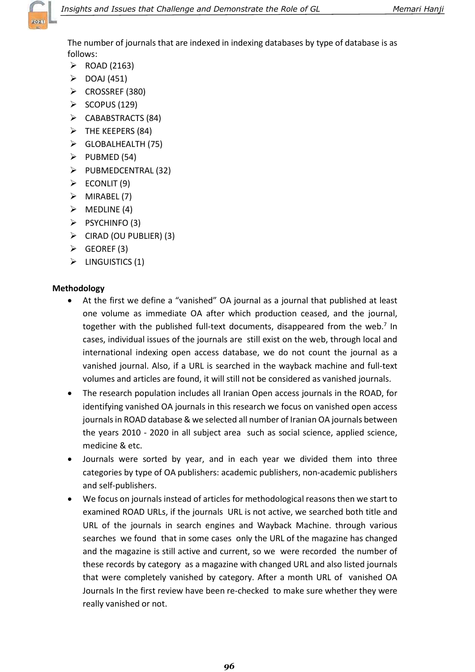

The number of journals that are indexed in indexing databases by type of database is as follows:

- $\triangleright$  ROAD (2163)
- $\triangleright$  DOAJ (451)
- $\triangleright$  CROSSREF (380)
- $\triangleright$  SCOPUS (129)
- $\triangleright$  CABABSTRACTS (84)
- $\triangleright$  THE KEEPERS (84)
- $\triangleright$  GLOBALHEALTH (75)
- $\triangleright$  PUBMED (54)
- $\triangleright$  PUBMEDCENTRAL (32)
- $\triangleright$  ECONLIT (9)
- $\triangleright$  MIRABEL (7)
- $\triangleright$  MEDLINE (4)
- $\triangleright$  PSYCHINFO (3)
- $\triangleright$  CIRAD (OU PUBLIER) (3)
- $\triangleright$  GEOREF (3)
- $\triangleright$  LINGUISTICS (1)

# Methodology

- At the first we define a "vanished" OA journal as a journal that published at least one volume as immediate OA after which production ceased, and the journal, together with the published full-text documents, disappeared from the web. $7$  In cases, individual issues of the journals are still exist on the web, through local and international indexing open access database, we do not count the journal as a vanished journal. Also, if a URL is searched in the wayback machine and full-text volumes and articles are found, it will still not be considered as vanished journals.
- The research population includes all Iranian Open access journals in the ROAD, for identifying vanished OA journals in this research we focus on vanished open access journals in ROAD database & we selected all number of Iranian OA journals between the years 2010 - 2020 in all subject area such as social science, applied science, medicine & etc.
- Journals were sorted by year, and in each year we divided them into three categories by type of OA publishers: academic publishers, non-academic publishers and self-publishers.
- We focus on journals instead of articles for methodological reasons then we start to examined ROAD URLs, if the journals URL is not active, we searched both title and URL of the journals in search engines and Wayback Machine. through various searches we found that in some cases only the URL of the magazine has changed and the magazine is still active and current, so we were recorded the number of these records by category as a magazine with changed URL and also listed journals that were completely vanished by category. After a month URL of vanished OA Journals In the first review have been re-checked to make sure whether they were really vanished or not.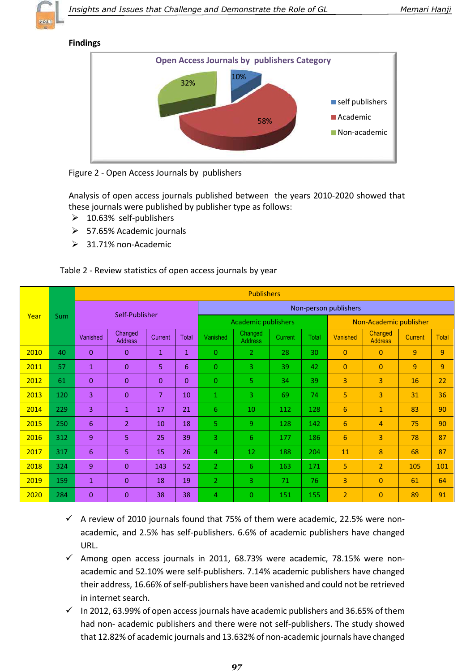

#### Findings



Figure 2 - Open Access Journals by publishers

Analysis of open access journals published between the years 2010-2020 showed that these journals were published by publisher type as follows:

- $\geq$  10.63% self-publishers
- $\geq$  57.65% Academic journals
- $\geq$  31.71% non-Academic

#### Table 2 - Review statistics of open access journals by year

|      | <b>Sum</b> | <b>Publishers</b> |                           |                |                            |                |                           |                        |       |                |                           |                |                |
|------|------------|-------------------|---------------------------|----------------|----------------------------|----------------|---------------------------|------------------------|-------|----------------|---------------------------|----------------|----------------|
|      |            | Self-Publisher    |                           |                | Non-person publishers      |                |                           |                        |       |                |                           |                |                |
| Year |            |                   |                           |                | <b>Academic publishers</b> |                |                           | Non-Academic publisher |       |                |                           |                |                |
|      |            | Vanished          | Changed<br><b>Address</b> | Current        | Total                      | Vanished       | Changed<br><b>Address</b> | Current                | Total | Vanished       | Changed<br><b>Address</b> | <b>Current</b> | <b>Total</b>   |
| 2010 | 40         | $\Omega$          | $\Omega$                  | $\mathbf{1}$   | $\mathbf{1}$               | $\Omega$       | $\overline{2}$            | 28                     | 30    | $\Omega$       | $\overline{0}$            | 9              | $\overline{9}$ |
| 2011 | 57         | $\mathbf{1}$      | $\mathbf{0}$              | 5              | 6                          | $\Omega$       | 3                         | 39                     | 42    | $\mathbf{0}$   | $\overline{0}$            | 9              | $\overline{9}$ |
| 2012 | 61         | $\Omega$          | $\mathbf{0}$              | $\Omega$       | $\mathbf{0}$               | $\Omega$       | 5                         | 34                     | 39    | $\overline{3}$ | 3                         | 16             | 22             |
| 2013 | 120        | 3                 | $\mathbf{0}$              | $\overline{7}$ | 10                         | $\mathbf{1}$   | 3                         | 69                     | 74    | 5              | 3                         | 31             | 36             |
| 2014 | 229        | $\overline{3}$    | $\mathbf{1}$              | 17             | 21                         | 6              | 10                        | 112                    | 128   | 6              | $\mathbf{1}$              | 83             | 90             |
| 2015 | 250        | 6                 | $\overline{2}$            | 10             | 18                         | 5              | 9                         | 128                    | 142   | 6              | 4                         | 75             | 90             |
| 2016 | 312        | 9                 | 5                         | 25             | 39                         | $\overline{3}$ | 6                         | 177                    | 186   | 6              | 3                         | 78             | 87             |
| 2017 | 317        | 6                 | 5                         | 15             | 26                         | 4              | 12                        | 188                    | 204   | 11             | 8                         | 68             | 87             |
| 2018 | 324        | 9                 | $\Omega$                  | 143            | 52                         | $\overline{2}$ | 6                         | 163                    | 171   | 5.             | $\overline{2}$            | 105            | 101            |
| 2019 | 159        | $\mathbf{1}$      | $\Omega$                  | 18             | 19                         | $\overline{2}$ | 3                         | 71                     | 76    | 3              | 0                         | 61             | 64             |
| 2020 | 284        | $\Omega$          | $\Omega$                  | 38             | 38                         | 4              | 0                         | 151                    | 155   | $\overline{2}$ | $\overline{0}$            | 89             | 91             |

- $\checkmark$  A review of 2010 journals found that 75% of them were academic, 22.5% were nonacademic, and 2.5% has self-publishers. 6.6% of academic publishers have changed URL.
- $\checkmark$  Among open access journals in 2011, 68.73% were academic, 78.15% were nonacademic and 52.10% were self-publishers. 7.14% academic publishers have changed their address, 16.66% of self-publishers have been vanished and could not be retrieved in internet search.
- $\checkmark$  In 2012, 63.99% of open access journals have academic publishers and 36.65% of them had non- academic publishers and there were not self-publishers. The study showed that 12.82% of academic journals and 13.632% of non-academic journals have changed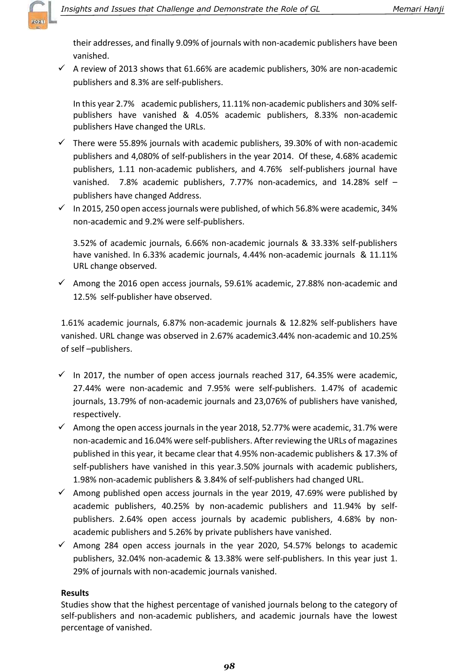

their addresses, and finally 9.09% of journals with non-academic publishers have been vanished.

 $\checkmark$  A review of 2013 shows that 61.66% are academic publishers, 30% are non-academic publishers and 8.3% are self-publishers.

In this year 2.7% academic publishers, 11.11% non-academic publishers and 30% selfpublishers have vanished & 4.05% academic publishers, 8.33% non-academic publishers Have changed the URLs.

- $\checkmark$  There were 55.89% journals with academic publishers, 39.30% of with non-academic publishers and 4,080% of self-publishers in the year 2014. Of these, 4.68% academic publishers, 1.11 non-academic publishers, and 4.76% self-publishers journal have vanished. 7.8% academic publishers, 7.77% non-academics, and 14.28% self – publishers have changed Address.
- $\checkmark$  In 2015, 250 open access journals were published, of which 56.8% were academic, 34% non-academic and 9.2% were self-publishers.

3.52% of academic journals, 6.66% non-academic journals & 33.33% self-publishers have vanished. In 6.33% academic journals, 4.44% non-academic journals & 11.11% URL change observed.

 $\checkmark$  Among the 2016 open access journals, 59.61% academic, 27.88% non-academic and 12.5% self-publisher have observed.

1.61% academic journals, 6.87% non-academic journals & 12.82% self-publishers have vanished. URL change was observed in 2.67% academic3.44% non-academic and 10.25% of self –publishers.

- $\checkmark$  In 2017, the number of open access journals reached 317, 64.35% were academic, 27.44% were non-academic and 7.95% were self-publishers. 1.47% of academic journals, 13.79% of non-academic journals and 23,076% of publishers have vanished, respectively.
- $\checkmark$  Among the open access journals in the year 2018, 52.77% were academic, 31.7% were non-academic and 16.04% were self-publishers. After reviewing the URLs of magazines published in this year, it became clear that 4.95% non-academic publishers & 17.3% of self-publishers have vanished in this year.3.50% journals with academic publishers, 1.98% non-academic publishers & 3.84% of self-publishers had changed URL.
- $\checkmark$  Among published open access journals in the year 2019, 47.69% were published by academic publishers, 40.25% by non-academic publishers and 11.94% by selfpublishers. 2.64% open access journals by academic publishers, 4.68% by nonacademic publishers and 5.26% by private publishers have vanished.
- $\checkmark$  Among 284 open access journals in the year 2020, 54.57% belongs to academic publishers, 32.04% non-academic & 13.38% were self-publishers. In this year just 1. 29% of journals with non-academic journals vanished.

#### **Results**

Studies show that the highest percentage of vanished journals belong to the category of self-publishers and non-academic publishers, and academic journals have the lowest percentage of vanished.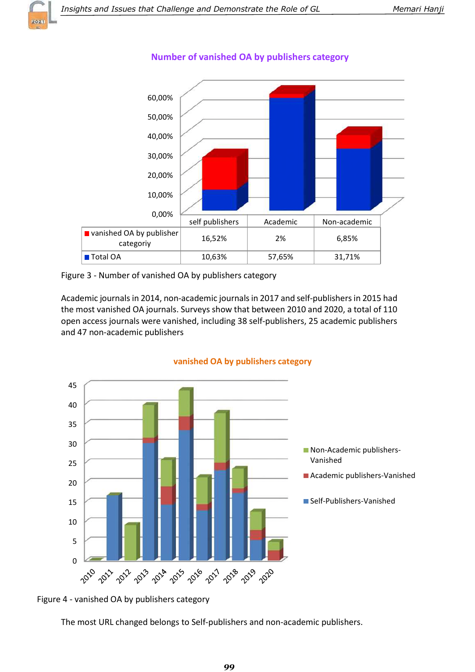



# Number of vanished OA by publishers category

Figure 3 - Number of vanished OA by publishers category

Academic journals in 2014, non-academic journals in 2017 and self-publishers in 2015 had the most vanished OA journals. Surveys show that between 2010 and 2020, a total of 110 open access journals were vanished, including 38 self-publishers, 25 academic publishers and 47 non-academic publishers



vanished OA by publishers category

Figure 4 - vanished OA by publishers category

The most URL changed belongs to Self-publishers and non-academic publishers.